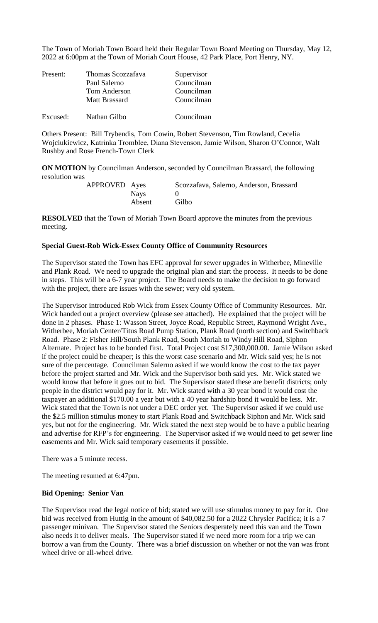The Town of Moriah Town Board held their Regular Town Board Meeting on Thursday, May 12, 2022 at 6:00pm at the Town of Moriah Court House, 42 Park Place, Port Henry, NY.

| Present: | Thomas Scozzafava    | Supervisor |
|----------|----------------------|------------|
|          | Paul Salerno         | Councilman |
|          | <b>Tom Anderson</b>  | Councilman |
|          | <b>Matt Brassard</b> | Councilman |
| Excused: | Nathan Gilbo         | Councilman |

Others Present: Bill Trybendis, Tom Cowin, Robert Stevenson, Tim Rowland, Cecelia Wojciukiewicz, Katrinka Tromblee, Diana Stevenson, Jamie Wilson, Sharon O'Connor, Walt Rushby and Rose French-Town Clerk

**ON MOTION** by Councilman Anderson, seconded by Councilman Brassard, the following resolution was

| APPROVED Ayes |        | Scozzafava, Salerno, Anderson, Brassard |
|---------------|--------|-----------------------------------------|
|               | Nays   |                                         |
|               | Absent | Gilbo                                   |

**RESOLVED** that the Town of Moriah Town Board approve the minutes from the previous meeting.

### **Special Guest-Rob Wick-Essex County Office of Community Resources**

The Supervisor stated the Town has EFC approval for sewer upgrades in Witherbee, Mineville and Plank Road. We need to upgrade the original plan and start the process. It needs to be done in steps. This will be a 6-7 year project. The Board needs to make the decision to go forward with the project, there are issues with the sewer; very old system.

The Supervisor introduced Rob Wick from Essex County Office of Community Resources. Mr. Wick handed out a project overview (please see attached). He explained that the project will be done in 2 phases. Phase 1: Wasson Street, Joyce Road, Republic Street, Raymond Wright Ave., Witherbee, Moriah Center/Titus Road Pump Station, Plank Road (north section) and Switchback Road. Phase 2: Fisher Hill/South Plank Road, South Moriah to Windy Hill Road, Siphon Alternate. Project has to be bonded first. Total Project cost \$17,300,000.00. Jamie Wilson asked if the project could be cheaper; is this the worst case scenario and Mr. Wick said yes; he is not sure of the percentage. Councilman Salerno asked if we would know the cost to the tax payer before the project started and Mr. Wick and the Supervisor both said yes. Mr. Wick stated we would know that before it goes out to bid. The Supervisor stated these are benefit districts; only people in the district would pay for it. Mr. Wick stated with a 30 year bond it would cost the taxpayer an additional \$170.00 a year but with a 40 year hardship bond it would be less. Mr. Wick stated that the Town is not under a DEC order yet. The Supervisor asked if we could use the \$2.5 million stimulus money to start Plank Road and Switchback Siphon and Mr. Wick said yes, but not for the engineering. Mr. Wick stated the next step would be to have a public hearing and advertise for RFP's for engineering. The Supervisor asked if we would need to get sewer line easements and Mr. Wick said temporary easements if possible.

There was a 5 minute recess.

The meeting resumed at 6:47pm.

# **Bid Opening: Senior Van**

The Supervisor read the legal notice of bid; stated we will use stimulus money to pay for it. One bid was received from Huttig in the amount of \$40,082.50 for a 2022 Chrysler Pacifica; it is a 7 passenger minivan. The Supervisor stated the Seniors desperately need this van and the Town also needs it to deliver meals. The Supervisor stated if we need more room for a trip we can borrow a van from the County. There was a brief discussion on whether or not the van was front wheel drive or all-wheel drive.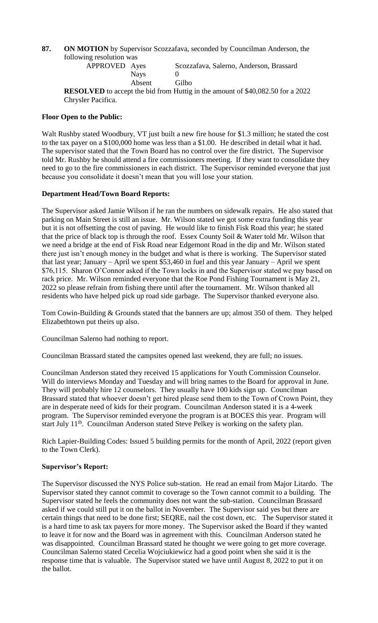# **87. ON MOTION** by Supervisor Scozzafava, seconded by Councilman Anderson, the following resolution was

APPROVED Ayes Scozzafava, Salerno, Anderson, Brassard Nays 0 Absent Gilbo

**RESOLVED** to accept the bid from Huttig in the amount of \$40,082.50 for a 2022 Chrysler Pacifica.

# **Floor Open to the Public:**

Walt Rushby stated Woodbury, VT just built a new fire house for \$1.3 million; he stated the cost to the tax payer on a \$100,000 home was less than a \$1.00. He described in detail what it had. The supervisor stated that the Town Board has no control over the fire district. The Supervisor told Mr. Rushby he should attend a fire commissioners meeting. If they want to consolidate they need to go to the fire commissioners in each district. The Supervisor reminded everyone that just because you consolidate it doesn't mean that you will lose your station.

## **Department Head/Town Board Reports:**

The Supervisor asked Jamie Wilson if he ran the numbers on sidewalk repairs. He also stated that parking on Main Street is still an issue. Mr. Wilson stated we got some extra funding this year but it is not offsetting the cost of paving. He would like to finish Fisk Road this year; he stated that the price of black top is through the roof. Essex County Soil & Water told Mr. Wilson that we need a bridge at the end of Fisk Road near Edgemont Road in the dip and Mr. Wilson stated there just isn't enough money in the budget and what is there is working. The Supervisor stated that last year; January – April we spent \$53,460 in fuel and this year January – April we spent \$76,115. Sharon O'Connor asked if the Town locks in and the Supervisor stated we pay based on rack price. Mr. Wilson reminded everyone that the Roe Pond Fishing Tournament is May 21, 2022 so please refrain from fishing there until after the tournament. Mr. Wilson thanked all residents who have helped pick up road side garbage. The Supervisor thanked everyone also.

Tom Cowin-Building & Grounds stated that the banners are up; almost 350 of them. They helped Elizabethtown put theirs up also.

Councilman Salerno had nothing to report.

Councilman Brassard stated the campsites opened last weekend, they are full; no issues.

Councilman Anderson stated they received 15 applications for Youth Commission Counselor. Will do interviews Monday and Tuesday and will bring names to the Board for approval in June. They will probably hire 12 counselors. They usually have 100 kids sign up. Councilman Brassard stated that whoever doesn't get hired please send them to the Town of Crown Point, they are in desperate need of kids for their program. Councilman Anderson stated it is a 4-week program. The Supervisor reminded everyone the program is at BOCES this year. Program will start July  $11<sup>th</sup>$ . Councilman Anderson stated Steve Pelkey is working on the safety plan.

Rich Lapier-Building Codes: Issued 5 building permits for the month of April, 2022 (report given to the Town Clerk).

#### **Supervisor's Report:**

The Supervisor discussed the NYS Police sub-station. He read an email from Major Litardo. The Supervisor stated they cannot commit to coverage so the Town cannot commit to a building. The Supervisor stated he feels the community does not want the sub-station. Councilman Brassard asked if we could still put it on the ballot in November. The Supervisor said yes but there are certain things that need to be done first; SEQRE, nail the cost down, etc. The Supervisor stated it is a hard time to ask tax payers for more money. The Supervisor asked the Board if they wanted to leave it for now and the Board was in agreement with this. Councilman Anderson stated he was disappointed. Councilman Brassard stated he thought we were going to get more coverage. Councilman Salerno stated Cecelia Wojciukiewicz had a good point when she said it is the response time that is valuable. The Supervisor stated we have until August 8, 2022 to put it on the ballot.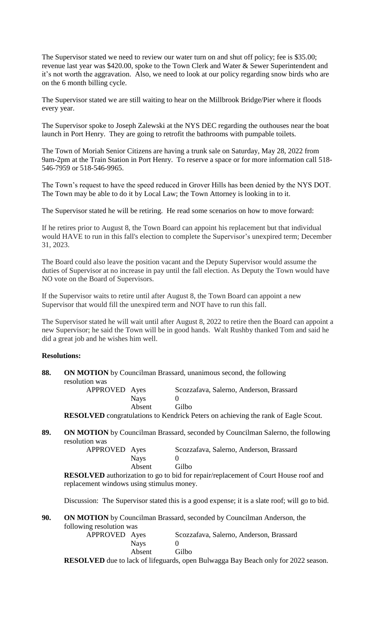The Supervisor stated we need to review our water turn on and shut off policy; fee is \$35.00; revenue last year was \$420.00, spoke to the Town Clerk and Water & Sewer Superintendent and it's not worth the aggravation. Also, we need to look at our policy regarding snow birds who are on the 6 month billing cycle.

The Supervisor stated we are still waiting to hear on the Millbrook Bridge/Pier where it floods every year.

The Supervisor spoke to Joseph Zalewski at the NYS DEC regarding the outhouses near the boat launch in Port Henry. They are going to retrofit the bathrooms with pumpable toilets.

The Town of Moriah Senior Citizens are having a trunk sale on Saturday, May 28, 2022 from 9am-2pm at the Train Station in Port Henry. To reserve a space or for more information call 518- 546-7959 or 518-546-9965.

The Town's request to have the speed reduced in Grover Hills has been denied by the NYS DOT. The Town may be able to do it by Local Law; the Town Attorney is looking in to it.

The Supervisor stated he will be retiring. He read some scenarios on how to move forward:

If he retires prior to August 8, the Town Board can appoint his replacement but that individual would HAVE to run in this fall's election to complete the Supervisor's unexpired term; December 31, 2023.

The Board could also leave the position vacant and the Deputy Supervisor would assume the duties of Supervisor at no increase in pay until the fall election. As Deputy the Town would have NO vote on the Board of Supervisors.

If the Supervisor waits to retire until after August 8, the Town Board can appoint a new Supervisor that would fill the unexpired term and NOT have to run this fall.

The Supervisor stated he will wait until after August 8, 2022 to retire then the Board can appoint a new Supervisor; he said the Town will be in good hands. Walt Rushby thanked Tom and said he did a great job and he wishes him well.

# **Resolutions:**

| 88. |                |             | <b>ON MOTION</b> by Councilman Brassard, unanimous second, the following |
|-----|----------------|-------------|--------------------------------------------------------------------------|
|     | resolution was |             |                                                                          |
|     | APPROVED Ayes  |             | Scozzafava, Salerno, Anderson, Brassard                                  |
|     |                | <b>Navs</b> |                                                                          |
|     |                | Absent      | Gilbo                                                                    |

**RESOLVED** congratulations to Kendrick Peters on achieving the rank of Eagle Scout.

**89. ON MOTION** by Councilman Brassard, seconded by Councilman Salerno, the following resolution was

| APPROVED Ayes |             | Scozzafava, Salerno, Anderson, Brassard |
|---------------|-------------|-----------------------------------------|
|               | <b>Navs</b> |                                         |
|               | Absent      | Gilbo                                   |

**RESOLVED** authorization to go to bid for repair/replacement of Court House roof and replacement windows using stimulus money.

Discussion: The Supervisor stated this is a good expense; it is a slate roof; will go to bid.

**90. ON MOTION** by Councilman Brassard, seconded by Councilman Anderson, the following resolution was

| APPROVED Ayes |             | Scozzafava, Salerno, Anderson, Brassard                                       |
|---------------|-------------|-------------------------------------------------------------------------------|
|               | <b>Nays</b> |                                                                               |
|               | Absent      | Gilbo                                                                         |
|               |             | <b>COLVED</b> due to leak of lifequards, open Pulyagge Rev Reach only for 202 |

**RESOLVED** due to lack of lifeguards, open Bulwagga Bay Beach only for 2022 season.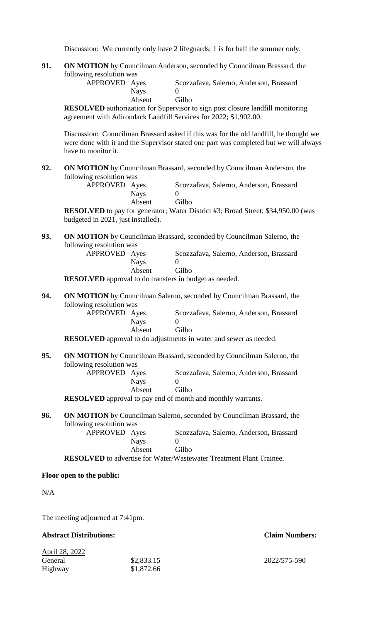Discussion: We currently only have 2 lifeguards; 1 is for half the summer only.

**91. ON MOTION** by Councilman Anderson, seconded by Councilman Brassard, the following resolution was

| APPROVED Ayes |             | Scozzafava, Salerno, Anderson, Brassard |
|---------------|-------------|-----------------------------------------|
|               | <b>Navs</b> |                                         |
|               | Absent      | Gilbo                                   |

**RESOLVED** authorization for Supervisor to sign post closure landfill monitoring agreement with Adirondack Landfill Services for 2022; \$1,902.00.

Discussion: Councilman Brassard asked if this was for the old landfill, he thought we were done with it and the Supervisor stated one part was completed but we will always have to monitor it.

**92. ON MOTION** by Councilman Brassard, seconded by Councilman Anderson, the following resolution was

| APPROVED Ayes |             | Scozzafava, Salerno, Anderson, Brassard |
|---------------|-------------|-----------------------------------------|
|               | <b>Nays</b> |                                         |
|               | Absent      | Gilbo                                   |

**RESOLVED** to pay for generator; Water District #3; Broad Street; \$34,950.00 (was budgeted in 2021, just installed).

**93. ON MOTION** by Councilman Brassard, seconded by Councilman Salerno, the following resolution was

| APPROVED Ayes |        | Scozzafava, Salerno, Anderson, Brassard |
|---------------|--------|-----------------------------------------|
|               | Nays   |                                         |
|               | Absent | Gilbo                                   |
|               |        |                                         |

**RESOLVED** approval to do transfers in budget as needed.

**94. ON MOTION** by Councilman Salerno, seconded by Councilman Brassard, the following resolution was

| APPROVED Ayes |        | Scozzafava, Salerno, Anderson, Brassard |
|---------------|--------|-----------------------------------------|
|               | Nays   |                                         |
|               | Absent | Gilbo                                   |

**RESOLVED** approval to do adjustments in water and sewer as needed.

**95. ON MOTION** by Councilman Brassard, seconded by Councilman Salerno, the following resolution was

APPROVED Ayes Scozzafava, Salerno, Anderson, Brassard Nays 0 Absent Gilbo

**RESOLVED** approval to pay end of month and monthly warrants.

**96. ON MOTION** by Councilman Salerno, seconded by Councilman Brassard, the following resolution was

| APPROVED Ayes |             | Scozzafava, Salerno, Anderson, Brassard |
|---------------|-------------|-----------------------------------------|
|               | <b>Nays</b> |                                         |
|               | Absent      | Gilbo                                   |

**RESOLVED** to advertise for Water/Wastewater Treatment Plant Trainee.

#### **Floor open to the public:**

N/A

The meeting adjourned at 7:41pm.

# **Abstract Distributions: Claim Numbers:**

| \$2,833.15 |
|------------|
| \$1,872.66 |
|            |

2022/575-590